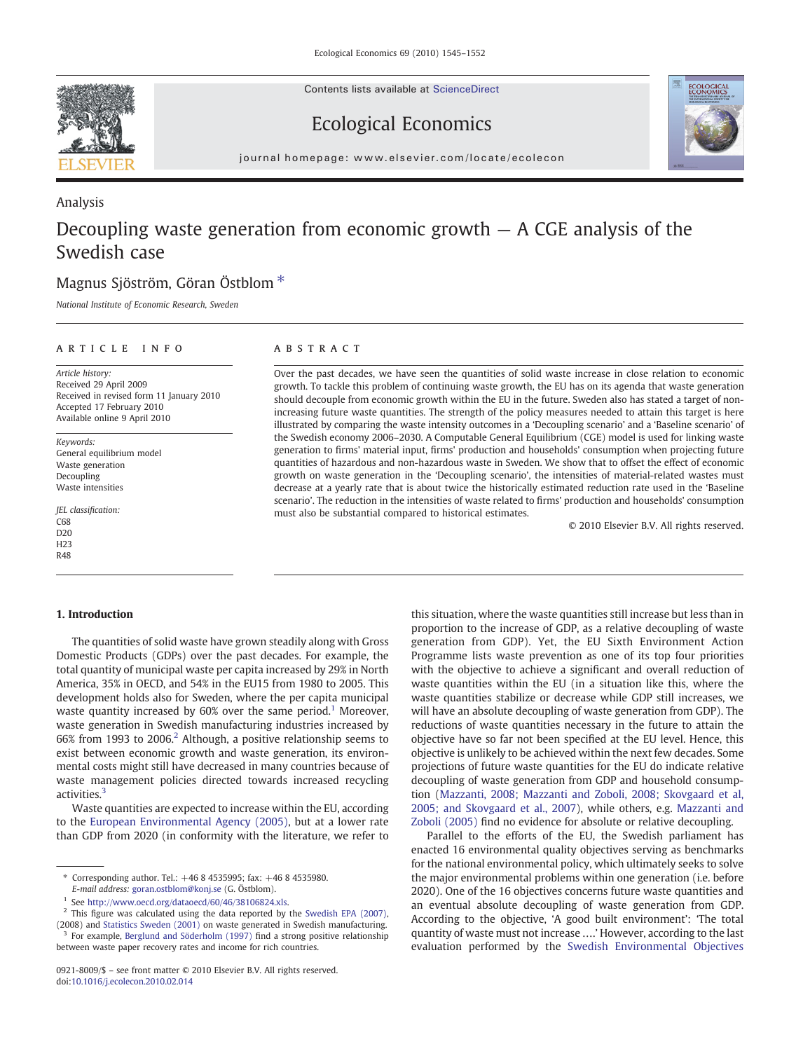Contents lists available at ScienceDirect

<span id="page-0-0"></span>

Analysis

Ecological Economics



journal homepage: www.elsevier.com/locate/ecolecon

# Decoupling waste generation from economic growth  $-$  A CGE analysis of the Swedish case

## Magnus Sjöström, Göran Östblom<sup>\*</sup>

National Institute of Economic Research, Sweden

### ARTICLE INFO ABSTRACT

Article history: Received 29 April 2009 Received in revised form 11 January 2010 Accepted 17 February 2010 Available online 9 April 2010

Keywords: General equilibrium model Waste generation Decoupling Waste intensities

JEL classification: C68 D20 H23 R48

Over the past decades, we have seen the quantities of solid waste increase in close relation to economic growth. To tackle this problem of continuing waste growth, the EU has on its agenda that waste generation should decouple from economic growth within the EU in the future. Sweden also has stated a target of nonincreasing future waste quantities. The strength of the policy measures needed to attain this target is here illustrated by comparing the waste intensity outcomes in a 'Decoupling scenario' and a 'Baseline scenario' of the Swedish economy 2006–2030. A Computable General Equilibrium (CGE) model is used for linking waste generation to firms' material input, firms' production and households' consumption when projecting future quantities of hazardous and non-hazardous waste in Sweden. We show that to offset the effect of economic growth on waste generation in the 'Decoupling scenario', the intensities of material-related wastes must decrease at a yearly rate that is about twice the historically estimated reduction rate used in the 'Baseline scenario'. The reduction in the intensities of waste related to firms' production and households' consumption must also be substantial compared to historical estimates.

© 2010 Elsevier B.V. All rights reserved.

#### 1. Introduction

The quantities of solid waste have grown steadily along with Gross Domestic Products (GDPs) over the past decades. For example, the total quantity of municipal waste per capita increased by 29% in North America, 35% in OECD, and 54% in the EU15 from 1980 to 2005. This development holds also for Sweden, where the per capita municipal waste quantity increased by 60% over the same period.<sup>1</sup> Moreover, waste generation in Swedish manufacturing industries increased by 66% from 1993 to 2006.2 Although, a positive relationship seems to exist between economic growth and waste generation, its environmental costs might still have decreased in many countries because of waste management policies directed towards increased recycling activities.<sup>3</sup>

Waste quantities are expected to increase within the EU, according to the [European Environmental Agency \(2005\),](#page-6-0) but at a lower rate than GDP from 2020 (in conformity with the literature, we refer to

between waste paper recovery rates and income for rich countries.

this situation, where the waste quantities still increase but less than in proportion to the increase of GDP, as a relative decoupling of waste generation from GDP). Yet, the EU Sixth Environment Action Programme lists waste prevention as one of its top four priorities with the objective to achieve a significant and overall reduction of waste quantities within the EU (in a situation like this, where the waste quantities stabilize or decrease while GDP still increases, we will have an absolute decoupling of waste generation from GDP). The reductions of waste quantities necessary in the future to attain the objective have so far not been specified at the EU level. Hence, this objective is unlikely to be achieved within the next few decades. Some projections of future waste quantities for the EU do indicate relative decoupling of waste generation from GDP and household consumption [\(Mazzanti, 2008; Mazzanti and Zoboli, 2008; Skovgaard et al,](#page-6-0) [2005; and Skovgaard et al., 2007](#page-6-0)), while others, e.g. [Mazzanti and](#page-6-0) [Zoboli \(2005\)](#page-6-0) find no evidence for absolute or relative decoupling.

Parallel to the efforts of the EU, the Swedish parliament has enacted 16 environmental quality objectives serving as benchmarks for the national environmental policy, which ultimately seeks to solve the major environmental problems within one generation (i.e. before 2020). One of the 16 objectives concerns future waste quantities and an eventual absolute decoupling of waste generation from GDP. According to the objective, 'A good built environment': 'The total quantity of waste must not increase ….' However, according to the last evaluation performed by the [Swedish Environmental Objectives](#page-7-0)

<sup>⁎</sup> Corresponding author. Tel.: +46 8 4535995; fax: +46 8 4535980.

E-mail address: [goran.ostblom@konj.se](mailto:goran.ostblom@konj.se) (G. Östblom).

<sup>1</sup> See [http://www.oecd.org/dataoecd/60/46/38106824.xls.](http://www.oecd.org/dataoecd/60/46/38106824.xls)

<sup>&</sup>lt;sup>2</sup> This figure was calculated using the data reported by the [Swedish EPA \(2007\)](#page-7-0),

<sup>(2008)</sup> and [Statistics Sweden \(2001\)](#page-6-0) on waste generated in Swedish manufacturing. <sup>3</sup> For example, [Berglund and Söderholm \(1997\)](#page-6-0) find a strong positive relationship

<sup>0921-8009/\$</sup> – see front matter © 2010 Elsevier B.V. All rights reserved. doi:[10.1016/j.ecolecon.2010.02.014](http://dx.doi.org/10.1016/j.ecolecon.2010.02.014)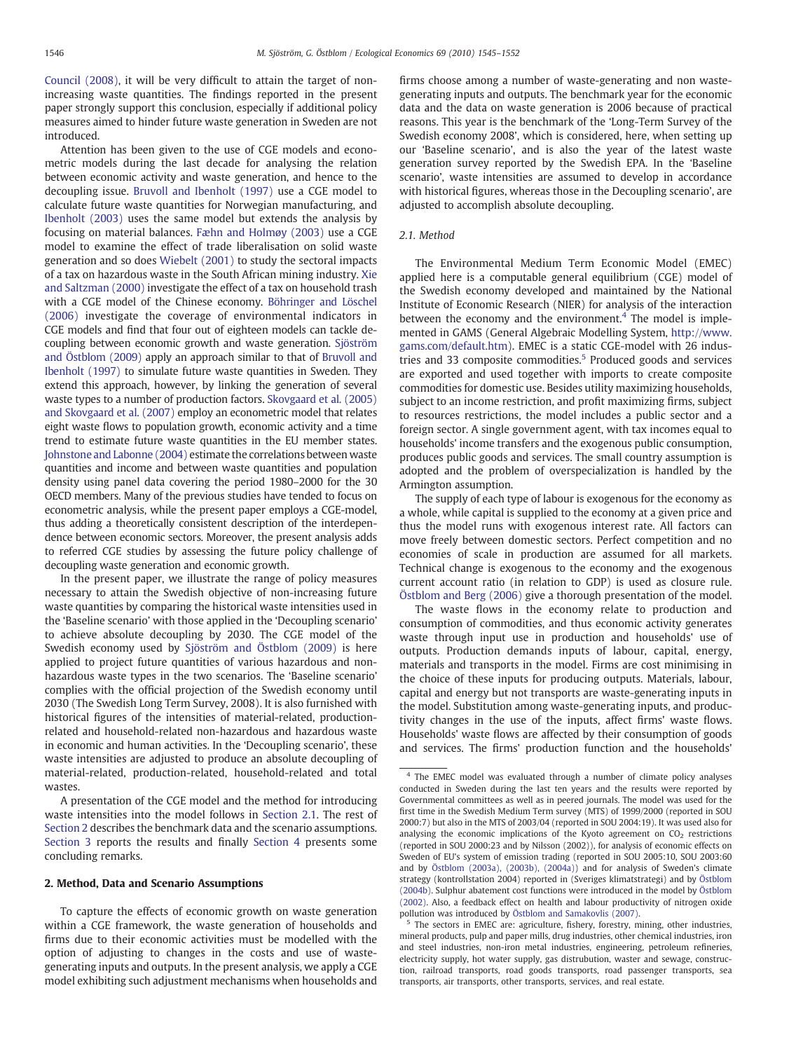[Council \(2008\)](#page-7-0), it will be very difficult to attain the target of nonincreasing waste quantities. The findings reported in the present paper strongly support this conclusion, especially if additional policy measures aimed to hinder future waste generation in Sweden are not introduced.

Attention has been given to the use of CGE models and econometric models during the last decade for analysing the relation between economic activity and waste generation, and hence to the decoupling issue. [Bruvoll and Ibenholt \(1997\)](#page-6-0) use a CGE model to calculate future waste quantities for Norwegian manufacturing, and [Ibenholt \(2003\)](#page-6-0) uses the same model but extends the analysis by focusing on material balances. [Fæhn and Holmøy \(2003\)](#page-6-0) use a CGE model to examine the effect of trade liberalisation on solid waste generation and so does [Wiebelt \(2001\)](#page-7-0) to study the sectoral impacts of a tax on hazardous waste in the South African mining industry. [Xie](#page-7-0) [and Saltzman \(2000\)](#page-7-0) investigate the effect of a tax on household trash with a CGE model of the Chinese economy. [Böhringer and Löschel](#page-6-0) [\(2006\)](#page-6-0) investigate the coverage of environmental indicators in CGE models and find that four out of eighteen models can tackle decoupling between economic growth and waste generation. [Sjöström](#page-6-0) [and Östblom \(2009\)](#page-6-0) apply an approach similar to that of [Bruvoll and](#page-6-0) [Ibenholt \(1997\)](#page-6-0) to simulate future waste quantities in Sweden. They extend this approach, however, by linking the generation of several waste types to a number of production factors. [Skovgaard et al. \(2005\)](#page-7-0) [and Skovgaard et al. \(2007\)](#page-7-0) employ an econometric model that relates eight waste flows to population growth, economic activity and a time trend to estimate future waste quantities in the EU member states. [Johnstone and Labonne \(2004\)](#page-6-0) estimate the correlations between waste quantities and income and between waste quantities and population density using panel data covering the period 1980–2000 for the 30 OECD members. Many of the previous studies have tended to focus on econometric analysis, while the present paper employs a CGE-model, thus adding a theoretically consistent description of the interdependence between economic sectors. Moreover, the present analysis adds to referred CGE studies by assessing the future policy challenge of decoupling waste generation and economic growth.

In the present paper, we illustrate the range of policy measures necessary to attain the Swedish objective of non-increasing future waste quantities by comparing the historical waste intensities used in the 'Baseline scenario' with those applied in the 'Decoupling scenario' to achieve absolute decoupling by 2030. The CGE model of the Swedish economy used by [Sjöström and Östblom \(2009\)](#page-6-0) is here applied to project future quantities of various hazardous and nonhazardous waste types in the two scenarios. The 'Baseline scenario' complies with the official projection of the Swedish economy until 2030 (The Swedish Long Term Survey, 2008). It is also furnished with historical figures of the intensities of material-related, productionrelated and household-related non-hazardous and hazardous waste in economic and human activities. In the 'Decoupling scenario', these waste intensities are adjusted to produce an absolute decoupling of material-related, production-related, household-related and total wastes.

A presentation of the CGE model and the method for introducing waste intensities into the model follows in [Section 2.1](#page-0-0). The rest of Section 2 describes the benchmark data and the scenario assumptions. [Section 3](#page-3-0) reports the results and finally [Section 4](#page-5-0) presents some concluding remarks.

#### 2. Method, Data and Scenario Assumptions

To capture the effects of economic growth on waste generation within a CGE framework, the waste generation of households and firms due to their economic activities must be modelled with the option of adjusting to changes in the costs and use of wastegenerating inputs and outputs. In the present analysis, we apply a CGE model exhibiting such adjustment mechanisms when households and firms choose among a number of waste-generating and non wastegenerating inputs and outputs. The benchmark year for the economic data and the data on waste generation is 2006 because of practical reasons. This year is the benchmark of the 'Long-Term Survey of the Swedish economy 2008', which is considered, here, when setting up our 'Baseline scenario', and is also the year of the latest waste generation survey reported by the Swedish EPA. In the 'Baseline scenario', waste intensities are assumed to develop in accordance with historical figures, whereas those in the Decoupling scenario', are adjusted to accomplish absolute decoupling.

#### 2.1. Method

The Environmental Medium Term Economic Model (EMEC) applied here is a computable general equilibrium (CGE) model of the Swedish economy developed and maintained by the National Institute of Economic Research (NIER) for analysis of the interaction between the economy and the environment.<sup>4</sup> The model is implemented in GAMS (General Algebraic Modelling System, [http://www.](http://www.gams.com/default.htm) [gams.com/default.htm](http://www.gams.com/default.htm)). EMEC is a static CGE-model with 26 industries and 33 composite commodities.<sup>5</sup> Produced goods and services are exported and used together with imports to create composite commodities for domestic use. Besides utility maximizing households, subject to an income restriction, and profit maximizing firms, subject to resources restrictions, the model includes a public sector and a foreign sector. A single government agent, with tax incomes equal to households' income transfers and the exogenous public consumption, produces public goods and services. The small country assumption is adopted and the problem of overspecialization is handled by the Armington assumption.

The supply of each type of labour is exogenous for the economy as a whole, while capital is supplied to the economy at a given price and thus the model runs with exogenous interest rate. All factors can move freely between domestic sectors. Perfect competition and no economies of scale in production are assumed for all markets. Technical change is exogenous to the economy and the exogenous current account ratio (in relation to GDP) is used as closure rule. [Östblom and Berg \(2006\)](#page-6-0) give a thorough presentation of the model.

The waste flows in the economy relate to production and consumption of commodities, and thus economic activity generates waste through input use in production and households' use of outputs. Production demands inputs of labour, capital, energy, materials and transports in the model. Firms are cost minimising in the choice of these inputs for producing outputs. Materials, labour, capital and energy but not transports are waste-generating inputs in the model. Substitution among waste-generating inputs, and productivity changes in the use of the inputs, affect firms' waste flows. Households' waste flows are affected by their consumption of goods and services. The firms' production function and the households'

<sup>&</sup>lt;sup>4</sup> The EMEC model was evaluated through a number of climate policy analyses conducted in Sweden during the last ten years and the results were reported by Governmental committees as well as in peered journals. The model was used for the first time in the Swedish Medium Term survey (MTS) of 1999/2000 (reported in SOU 2000:7) but also in the MTS of 2003/04 (reported in SOU 2004:19). It was used also for analysing the economic implications of the Kyoto agreement on  $CO<sub>2</sub>$  restrictions (reported in SOU 2000:23 and by Nilsson (2002)), for analysis of economic effects on Sweden of EU's system of emission trading (reported in SOU 2005:10, SOU 2003:60 and by [Östblom \(2003a\), \(2003b\), \(2004a\)](#page-6-0)) and for analysis of Sweden's climate strategy (kontrollstation 2004) reported in (Sveriges klimatstrategi) and by [Östblom](#page-6-0) [\(2004b\).](#page-6-0) Sulphur abatement cost functions were introduced in the model by [Östblom](#page-6-0) [\(2002\).](#page-6-0) Also, a feedback effect on health and labour productivity of nitrogen oxide pollution was introduced by [Östblom and Samakovlis \(2007\)](#page-6-0).

<sup>&</sup>lt;sup>5</sup> The sectors in EMEC are: agriculture, fishery, forestry, mining, other industries, mineral products, pulp and paper mills, drug industries, other chemical industries, iron and steel industries, non-iron metal industries, engineering, petroleum refineries, electricity supply, hot water supply, gas distrubution, waster and sewage, construction, railroad transports, road goods transports, road passenger transports, sea transports, air transports, other transports, services, and real estate.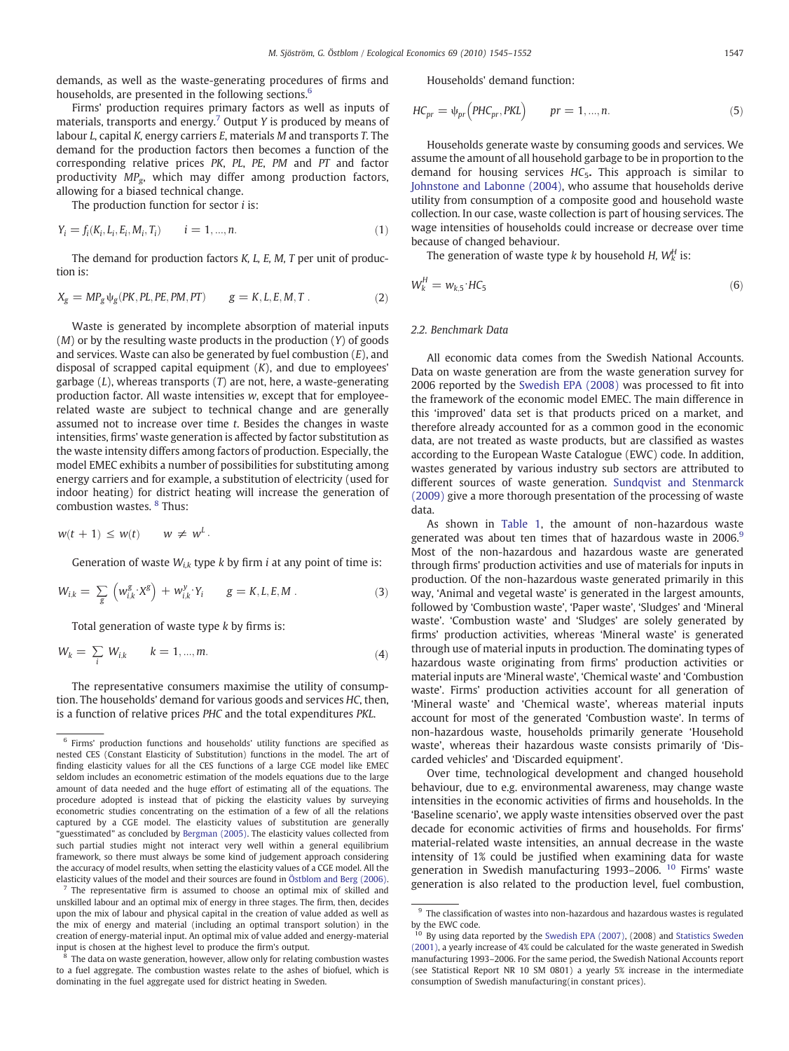demands, as well as the waste-generating procedures of firms and households, are presented in the following sections. $<sup>6</sup>$ </sup>

Firms' production requires primary factors as well as inputs of materials, transports and energy.<sup>7</sup> Output Y is produced by means of labour L, capital K, energy carriers E, materials M and transports T. The demand for the production factors then becomes a function of the corresponding relative prices PK, PL, PE, PM and PT and factor productivity  $MP_g$ , which may differ among production factors, allowing for a biased technical change.

The production function for sector *i* is:

$$
Y_i = f_i(K_i, L_i, E_i, M_i, T_i) \qquad i = 1, ..., n. \tag{1}
$$

The demand for production factors K, L, E, M, T per unit of production is:

$$
X_g = MP_g \psi_g(PK, PL, PE, PM, PT) \qquad g = K, L, E, M, T \tag{2}
$$

Waste is generated by incomplete absorption of material inputs  $(M)$  or by the resulting waste products in the production  $(Y)$  of goods and services. Waste can also be generated by fuel combustion  $(E)$ , and disposal of scrapped capital equipment  $(K)$ , and due to employees' garbage  $(L)$ , whereas transports  $(T)$  are not, here, a waste-generating production factor. All waste intensities w, except that for employeerelated waste are subject to technical change and are generally assumed not to increase over time t. Besides the changes in waste intensities, firms' waste generation is affected by factor substitution as the waste intensity differs among factors of production. Especially, the model EMEC exhibits a number of possibilities for substituting among energy carriers and for example, a substitution of electricity (used for indoor heating) for district heating will increase the generation of combustion wastes. <sup>8</sup> Thus:

$$
w(t+1) \leq w(t) \qquad w \neq w^L.
$$

Generation of waste  $W_{ik}$  type k by firm i at any point of time is:

$$
W_{i,k} = \sum_{g} \left( w_{i,k}^{g} \cdot X^{g} \right) + w_{i,k}^{y} \cdot Y_{i} \qquad g = K, L, E, M. \tag{3}
$$

Total generation of waste type k by firms is:

$$
W_k = \sum_{i} W_{i,k} \qquad k = 1, \dots, m. \tag{4}
$$

The representative consumers maximise the utility of consumption. The households' demand for various goods and services HC, then, is a function of relative prices PHC and the total expenditures PKL.

Households' demand function:

$$
HC_{pr} = \psi_{pr} \left( PHC_{pr}, PKL \right) \qquad pr = 1, ..., n. \tag{5}
$$

Households generate waste by consuming goods and services. We assume the amount of all household garbage to be in proportion to the demand for housing services  $HC_5$ . This approach is similar to [Johnstone and Labonne \(2004\)](#page-6-0), who assume that households derive utility from consumption of a composite good and household waste collection. In our case, waste collection is part of housing services. The wage intensities of households could increase or decrease over time because of changed behaviour.

The generation of waste type k by household H,  $W_k^H$  is:

$$
W_k^H = w_{k,5} \cdot HC_5 \tag{6}
$$

#### 2.2. Benchmark Data

All economic data comes from the Swedish National Accounts. Data on waste generation are from the waste generation survey for 2006 reported by the [Swedish EPA \(2008\)](#page-7-0) was processed to fit into the framework of the economic model EMEC. The main difference in this 'improved' data set is that products priced on a market, and therefore already accounted for as a common good in the economic data, are not treated as waste products, but are classified as wastes according to the European Waste Catalogue (EWC) code. In addition, wastes generated by various industry sub sectors are attributed to different sources of waste generation. [Sundqvist and Stenmarck](#page-7-0) [\(2009\)](#page-7-0) give a more thorough presentation of the processing of waste data.

As shown in [Table 1](#page-3-0), the amount of non-hazardous waste generated was about ten times that of hazardous waste in 2006.<sup>9</sup> Most of the non-hazardous and hazardous waste are generated through firms' production activities and use of materials for inputs in production. Of the non-hazardous waste generated primarily in this way, 'Animal and vegetal waste' is generated in the largest amounts, followed by 'Combustion waste', 'Paper waste', 'Sludges' and 'Mineral waste'. 'Combustion waste' and 'Sludges' are solely generated by firms' production activities, whereas 'Mineral waste' is generated through use of material inputs in production. The dominating types of hazardous waste originating from firms' production activities or material inputs are 'Mineral waste', 'Chemical waste' and 'Combustion waste'. Firms' production activities account for all generation of 'Mineral waste' and 'Chemical waste', whereas material inputs account for most of the generated 'Combustion waste'. In terms of non-hazardous waste, households primarily generate 'Household waste', whereas their hazardous waste consists primarily of 'Discarded vehicles' and 'Discarded equipment'.

Over time, technological development and changed household behaviour, due to e.g. environmental awareness, may change waste intensities in the economic activities of firms and households. In the 'Baseline scenario', we apply waste intensities observed over the past decade for economic activities of firms and households. For firms' material-related waste intensities, an annual decrease in the waste intensity of 1% could be justified when examining data for waste generation in Swedish manufacturing 1993-2006. <sup>10</sup> Firms' waste generation is also related to the production level, fuel combustion,

<sup>6</sup> Firms' production functions and households' utility functions are specified as nested CES (Constant Elasticity of Substitution) functions in the model. The art of finding elasticity values for all the CES functions of a large CGE model like EMEC seldom includes an econometric estimation of the models equations due to the large amount of data needed and the huge effort of estimating all of the equations. The procedure adopted is instead that of picking the elasticity values by surveying econometric studies concentrating on the estimation of a few of all the relations captured by a CGE model. The elasticity values of substitution are generally "guesstimated" as concluded by [Bergman \(2005\).](#page-6-0) The elasticity values collected from such partial studies might not interact very well within a general equilibrium framework, so there must always be some kind of judgement approach considering the accuracy of model results, when setting the elasticity values of a CGE model. All the elasticity values of the model and their sources are found in [Östblom and Berg \(2006\)](#page-6-0).

<sup>7</sup> The representative firm is assumed to choose an optimal mix of skilled and unskilled labour and an optimal mix of energy in three stages. The firm, then, decides upon the mix of labour and physical capital in the creation of value added as well as the mix of energy and material (including an optimal transport solution) in the creation of energy-material input. An optimal mix of value added and energy-material input is chosen at the highest level to produce the firm's output.

The data on waste generation, however, allow only for relating combustion wastes to a fuel aggregate. The combustion wastes relate to the ashes of biofuel, which is dominating in the fuel aggregate used for district heating in Sweden.

 $9$  The classification of wastes into non-hazardous and hazardous wastes is regulated by the EWC code.

 $10$  By using data reported by the [Swedish EPA \(2007\),](#page-7-0) (2008) and [Statistics Sweden](#page-6-0) [\(2001\),](#page-6-0) a yearly increase of 4% could be calculated for the waste generated in Swedish manufacturing 1993–2006. For the same period, the Swedish National Accounts report (see Statistical Report NR 10 SM 0801) a yearly 5% increase in the intermediate consumption of Swedish manufacturing(in constant prices).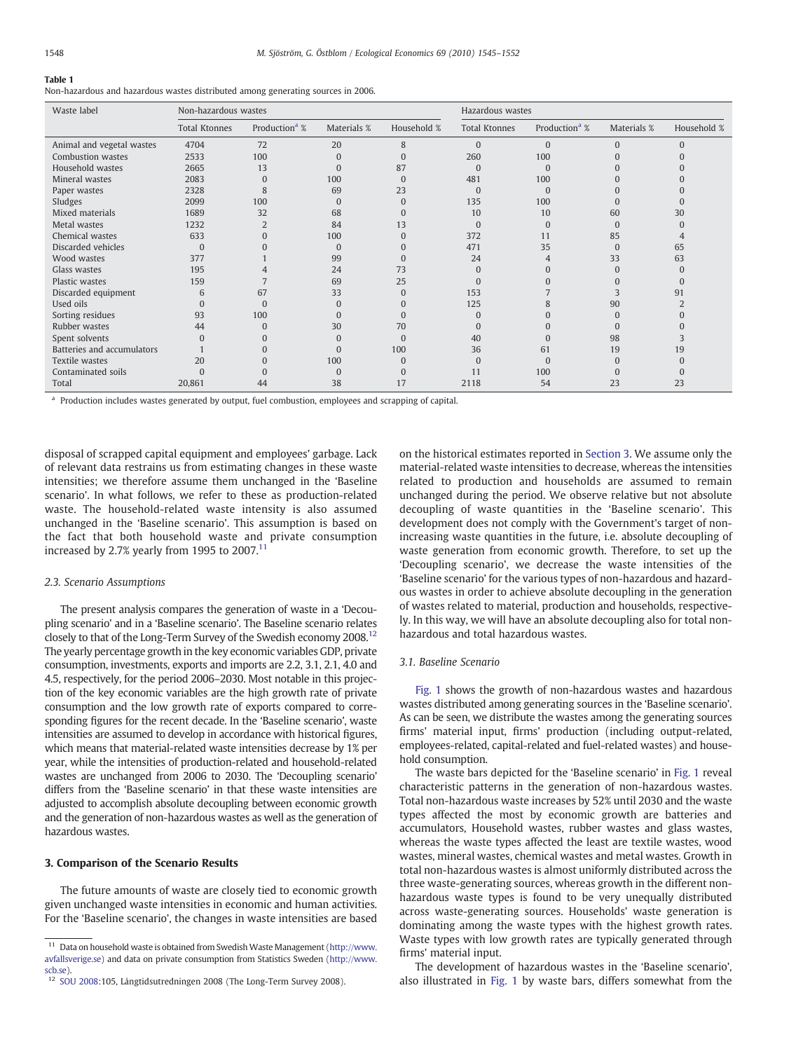#### <span id="page-3-0"></span>Table 1

Non-hazardous and hazardous wastes distributed among generating sources in 2006.

| Waste label                | Non-hazardous wastes |                           |             |             | Hazardous wastes     |                           |             |             |
|----------------------------|----------------------|---------------------------|-------------|-------------|----------------------|---------------------------|-------------|-------------|
|                            | <b>Total Ktonnes</b> | Production <sup>a</sup> % | Materials % | Household % | <b>Total Ktonnes</b> | Production <sup>a</sup> % | Materials % | Household % |
| Animal and vegetal wastes  | 4704                 | 72                        | 20          | 8           | $\Omega$             | $\Omega$                  | $\Omega$    | $\Omega$    |
| Combustion wastes          | 2533                 | 100                       | $\Omega$    | $\Omega$    | 260                  | 100                       | O           | U           |
| Household wastes           | 2665                 | 13                        | $\Omega$    | 87          | $\Omega$             | $\Omega$                  |             |             |
| Mineral wastes             | 2083                 | $\Omega$                  | 100         | $\Omega$    | 481                  | 100                       |             |             |
| Paper wastes               | 2328                 | 8                         | 69          | 23          | $\Omega$             | $\Omega$                  |             |             |
| Sludges                    | 2099                 | 100                       | $\Omega$    | $\Omega$    | 135                  | 100                       | $\Omega$    |             |
| Mixed materials            | 1689                 | 32                        | 68          | 0           | 10                   | 10                        | 60          | 30          |
| Metal wastes               | 1232                 |                           | 84          | 13          | $\Omega$             | $\Omega$                  | $\Omega$    |             |
| Chemical wastes            | 633                  |                           | 100         | 0           | 372                  | 11                        | 85          |             |
| Discarded vehicles         | $\Omega$             |                           | $\Omega$    | 0           | 471                  | 35                        | $\Omega$    | 65          |
| Wood wastes                | 377                  |                           | 99          | 0           | 24                   | 4                         | 33          | 63          |
| Glass wastes               | 195                  |                           | 24          | 73          | $\Omega$             | $\Omega$                  | $\Omega$    | $\Omega$    |
| Plastic wastes             | 159                  |                           | 69          | 25          | $\Omega$             |                           |             | $\Omega$    |
| Discarded equipment        | 6                    | 67                        | 33          | $\Omega$    | 153                  |                           |             | 91          |
| Used oils                  |                      |                           | $\Omega$    | 0           | 125                  |                           | 90          |             |
| Sorting residues           | 93                   | 100                       | 0           | 0           | $\Omega$             |                           | $\Omega$    |             |
| Rubber wastes              | 44                   |                           | 30          | 70          |                      |                           |             |             |
| Spent solvents             |                      |                           | 0           | 0           | 40                   |                           | 98          |             |
| Batteries and accumulators |                      |                           | O           | 100         | 36                   | 61                        | 19          | 19          |
| Textile wastes             | 20                   |                           | 100         | 0           | $\Omega$             | $\Omega$                  | $\Omega$    |             |
| Contaminated soils         | $\Omega$             |                           | $\Omega$    |             | 11                   | 100                       |             |             |
| Total                      | 20,861               | 44                        | 38          | 17          | 2118                 | 54                        | 23          | 23          |

<sup>a</sup> Production includes wastes generated by output, fuel combustion, employees and scrapping of capital.

disposal of scrapped capital equipment and employees' garbage. Lack of relevant data restrains us from estimating changes in these waste intensities; we therefore assume them unchanged in the 'Baseline scenario'. In what follows, we refer to these as production-related waste. The household-related waste intensity is also assumed unchanged in the 'Baseline scenario'. This assumption is based on the fact that both household waste and private consumption increased by 2.7% yearly from 1995 to 2007. $11$ 

#### 2.3. Scenario Assumptions

The present analysis compares the generation of waste in a 'Decoupling scenario' and in a 'Baseline scenario'. The Baseline scenario relates closely to that of the Long-Term Survey of the Swedish economy 2008.12 The yearly percentage growth in the key economic variables GDP, private consumption, investments, exports and imports are 2.2, 3.1, 2.1, 4.0 and 4.5, respectively, for the period 2006–2030. Most notable in this projection of the key economic variables are the high growth rate of private consumption and the low growth rate of exports compared to corresponding figures for the recent decade. In the 'Baseline scenario', waste intensities are assumed to develop in accordance with historical figures, which means that material-related waste intensities decrease by 1% per year, while the intensities of production-related and household-related wastes are unchanged from 2006 to 2030. The 'Decoupling scenario' differs from the 'Baseline scenario' in that these waste intensities are adjusted to accomplish absolute decoupling between economic growth and the generation of non-hazardous wastes as well as the generation of hazardous wastes.

#### 3. Comparison of the Scenario Results

The future amounts of waste are closely tied to economic growth given unchanged waste intensities in economic and human activities. For the 'Baseline scenario', the changes in waste intensities are based on the historical estimates reported in Section 3. We assume only the material-related waste intensities to decrease, whereas the intensities related to production and households are assumed to remain unchanged during the period. We observe relative but not absolute decoupling of waste quantities in the 'Baseline scenario'. This development does not comply with the Government's target of nonincreasing waste quantities in the future, i.e. absolute decoupling of waste generation from economic growth. Therefore, to set up the 'Decoupling scenario', we decrease the waste intensities of the 'Baseline scenario' for the various types of non-hazardous and hazardous wastes in order to achieve absolute decoupling in the generation of wastes related to material, production and households, respectively. In this way, we will have an absolute decoupling also for total nonhazardous and total hazardous wastes.

#### 3.1. Baseline Scenario

[Fig. 1](#page-4-0) shows the growth of non-hazardous wastes and hazardous wastes distributed among generating sources in the 'Baseline scenario'. As can be seen, we distribute the wastes among the generating sources firms' material input, firms' production (including output-related, employees-related, capital-related and fuel-related wastes) and household consumption.

The waste bars depicted for the 'Baseline scenario' in [Fig. 1](#page-4-0) reveal characteristic patterns in the generation of non-hazardous wastes. Total non-hazardous waste increases by 52% until 2030 and the waste types affected the most by economic growth are batteries and accumulators, Household wastes, rubber wastes and glass wastes, whereas the waste types affected the least are textile wastes, wood wastes, mineral wastes, chemical wastes and metal wastes. Growth in total non-hazardous wastes is almost uniformly distributed across the three waste-generating sources, whereas growth in the different nonhazardous waste types is found to be very unequally distributed across waste-generating sources. Households' waste generation is dominating among the waste types with the highest growth rates. Waste types with low growth rates are typically generated through firms' material input.

The development of hazardous wastes in the 'Baseline scenario', also illustrated in [Fig. 1](#page-4-0) by waste bars, differs somewhat from the

 $^{11}\,$  Data on household waste is obtained from Swedish Waste Management ([http://www.](http://www.avfallsverige.se) [avfallsverige.se](http://www.avfallsverige.se)) and data on private consumption from Statistics Sweden ([http://www.](http://www.scb.se) [scb.se](http://www.scb.se)).

<sup>12</sup> [SOU 2008](#page-7-0):105, Långtidsutredningen 2008 (The Long-Term Survey 2008).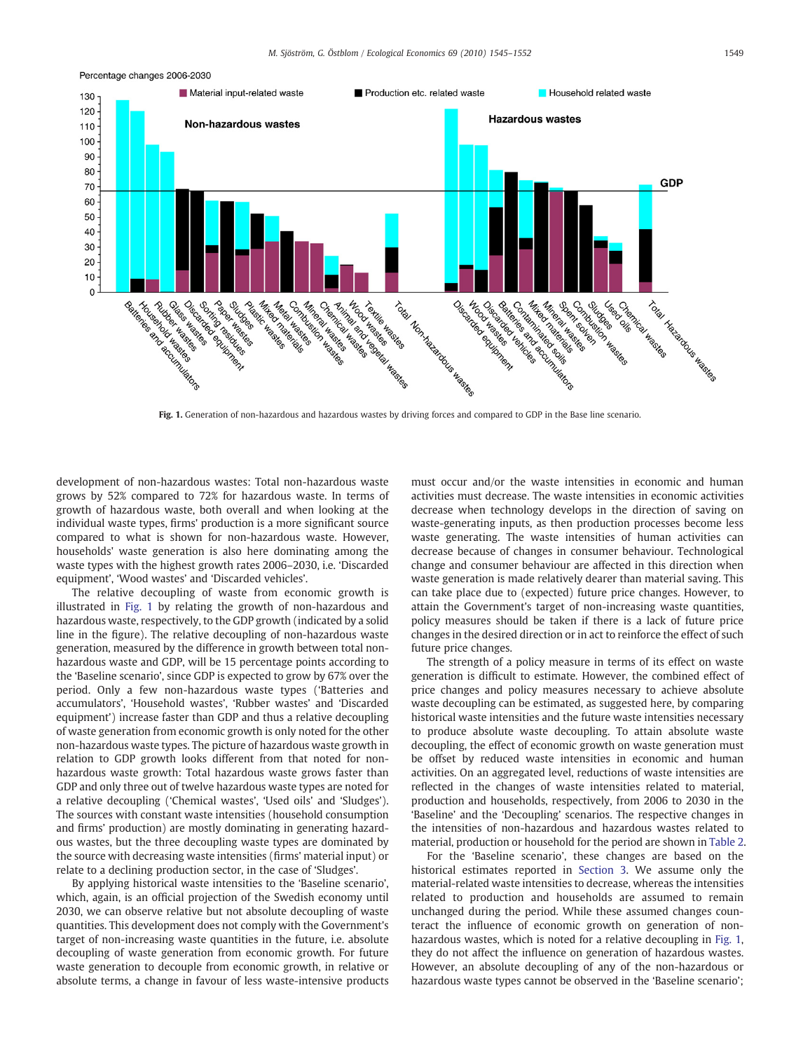<span id="page-4-0"></span>

Fig. 1. Generation of non-hazardous and hazardous wastes by driving forces and compared to GDP in the Base line scenario.

development of non-hazardous wastes: Total non-hazardous waste grows by 52% compared to 72% for hazardous waste. In terms of growth of hazardous waste, both overall and when looking at the individual waste types, firms' production is a more significant source compared to what is shown for non-hazardous waste. However, households' waste generation is also here dominating among the waste types with the highest growth rates 2006–2030, i.e. 'Discarded equipment', 'Wood wastes' and 'Discarded vehicles'.

The relative decoupling of waste from economic growth is illustrated in Fig. 1 by relating the growth of non-hazardous and hazardous waste, respectively, to the GDP growth (indicated by a solid line in the figure). The relative decoupling of non-hazardous waste generation, measured by the difference in growth between total nonhazardous waste and GDP, will be 15 percentage points according to the 'Baseline scenario', since GDP is expected to grow by 67% over the period. Only a few non-hazardous waste types ('Batteries and accumulators', 'Household wastes', 'Rubber wastes' and 'Discarded equipment') increase faster than GDP and thus a relative decoupling of waste generation from economic growth is only noted for the other non-hazardous waste types. The picture of hazardous waste growth in relation to GDP growth looks different from that noted for nonhazardous waste growth: Total hazardous waste grows faster than GDP and only three out of twelve hazardous waste types are noted for a relative decoupling ('Chemical wastes', 'Used oils' and 'Sludges'). The sources with constant waste intensities (household consumption and firms' production) are mostly dominating in generating hazardous wastes, but the three decoupling waste types are dominated by the source with decreasing waste intensities (firms' material input) or relate to a declining production sector, in the case of 'Sludges'.

By applying historical waste intensities to the 'Baseline scenario', which, again, is an official projection of the Swedish economy until 2030, we can observe relative but not absolute decoupling of waste quantities. This development does not comply with the Government's target of non-increasing waste quantities in the future, i.e. absolute decoupling of waste generation from economic growth. For future waste generation to decouple from economic growth, in relative or absolute terms, a change in favour of less waste-intensive products must occur and/or the waste intensities in economic and human activities must decrease. The waste intensities in economic activities decrease when technology develops in the direction of saving on waste-generating inputs, as then production processes become less waste generating. The waste intensities of human activities can decrease because of changes in consumer behaviour. Technological change and consumer behaviour are affected in this direction when waste generation is made relatively dearer than material saving. This can take place due to (expected) future price changes. However, to attain the Government's target of non-increasing waste quantities, policy measures should be taken if there is a lack of future price changes in the desired direction or in act to reinforce the effect of such future price changes.

The strength of a policy measure in terms of its effect on waste generation is difficult to estimate. However, the combined effect of price changes and policy measures necessary to achieve absolute waste decoupling can be estimated, as suggested here, by comparing historical waste intensities and the future waste intensities necessary to produce absolute waste decoupling. To attain absolute waste decoupling, the effect of economic growth on waste generation must be offset by reduced waste intensities in economic and human activities. On an aggregated level, reductions of waste intensities are reflected in the changes of waste intensities related to material, production and households, respectively, from 2006 to 2030 in the 'Baseline' and the 'Decoupling' scenarios. The respective changes in the intensities of non-hazardous and hazardous wastes related to material, production or household for the period are shown in [Table 2.](#page-5-0)

For the 'Baseline scenario', these changes are based on the historical estimates reported in [Section 3.](#page-3-0) We assume only the material-related waste intensities to decrease, whereas the intensities related to production and households are assumed to remain unchanged during the period. While these assumed changes counteract the influence of economic growth on generation of nonhazardous wastes, which is noted for a relative decoupling in Fig. 1, they do not affect the influence on generation of hazardous wastes. However, an absolute decoupling of any of the non-hazardous or hazardous waste types cannot be observed in the 'Baseline scenario';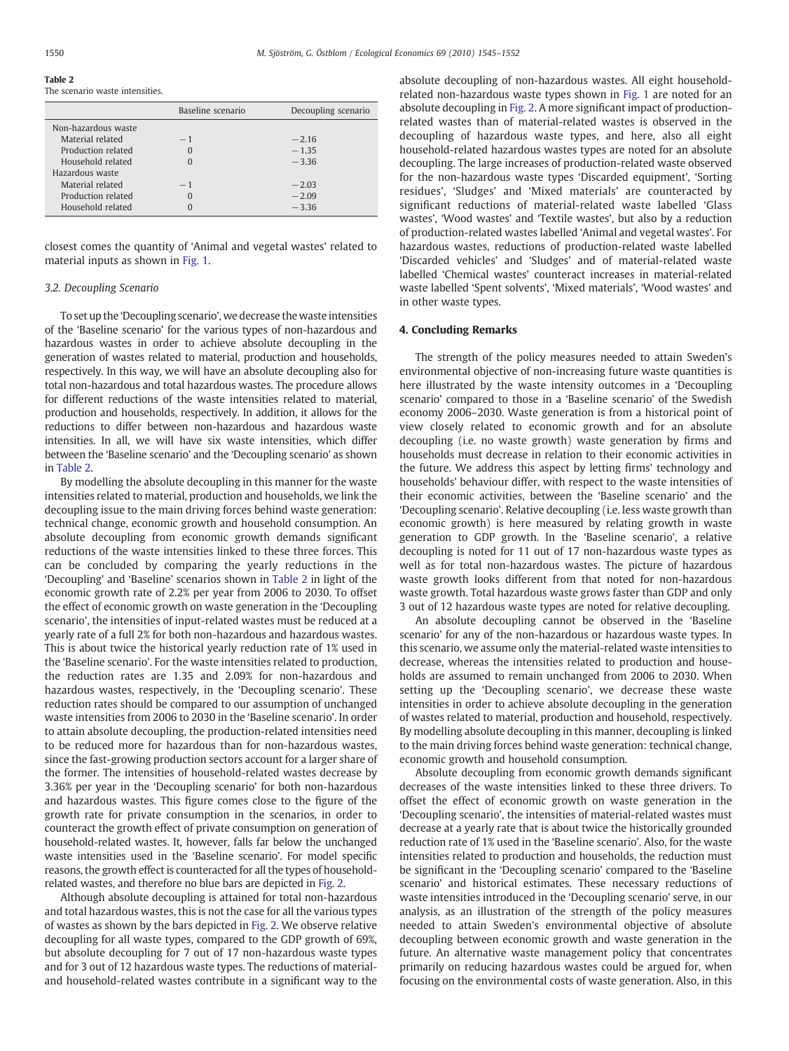# <span id="page-5-0"></span>Table 2

The scenario waste intensities.

| Baseline scenario | Decoupling scenario |
|-------------------|---------------------|
|                   |                     |
| $-1$              | $-2.16$             |
|                   | $-1.35$             |
|                   | $-3.36$             |
|                   |                     |
| $-1$              | $-2.03$             |
|                   | $-2.09$             |
|                   | $-3.36$             |
|                   |                     |

closest comes the quantity of 'Animal and vegetal wastes' related to material inputs as shown in [Fig. 1](#page-4-0).

#### 3.2. Decoupling Scenario

To set up the 'Decoupling scenario', we decrease the waste intensities of the 'Baseline scenario' for the various types of non-hazardous and hazardous wastes in order to achieve absolute decoupling in the generation of wastes related to material, production and households, respectively. In this way, we will have an absolute decoupling also for total non-hazardous and total hazardous wastes. The procedure allows for different reductions of the waste intensities related to material, production and households, respectively. In addition, it allows for the reductions to differ between non-hazardous and hazardous waste intensities. In all, we will have six waste intensities, which differ between the 'Baseline scenario' and the 'Decoupling scenario' as shown in Table 2.

By modelling the absolute decoupling in this manner for the waste intensities related to material, production and households, we link the decoupling issue to the main driving forces behind waste generation: technical change, economic growth and household consumption. An absolute decoupling from economic growth demands significant reductions of the waste intensities linked to these three forces. This can be concluded by comparing the yearly reductions in the 'Decoupling' and 'Baseline' scenarios shown in Table 2 in light of the economic growth rate of 2.2% per year from 2006 to 2030. To offset the effect of economic growth on waste generation in the 'Decoupling scenario', the intensities of input-related wastes must be reduced at a yearly rate of a full 2% for both non-hazardous and hazardous wastes. This is about twice the historical yearly reduction rate of 1% used in the 'Baseline scenario'. For the waste intensities related to production, the reduction rates are 1.35 and 2.09% for non-hazardous and hazardous wastes, respectively, in the 'Decoupling scenario'. These reduction rates should be compared to our assumption of unchanged waste intensities from 2006 to 2030 in the 'Baseline scenario'. In order to attain absolute decoupling, the production-related intensities need to be reduced more for hazardous than for non-hazardous wastes, since the fast-growing production sectors account for a larger share of the former. The intensities of household-related wastes decrease by 3.36% per year in the 'Decoupling scenario' for both non-hazardous and hazardous wastes. This figure comes close to the figure of the growth rate for private consumption in the scenarios, in order to counteract the growth effect of private consumption on generation of household-related wastes. It, however, falls far below the unchanged waste intensities used in the 'Baseline scenario'. For model specific reasons, the growth effect is counteracted for all the types of householdrelated wastes, and therefore no blue bars are depicted in [Fig. 2](#page-6-0).

Although absolute decoupling is attained for total non-hazardous and total hazardous wastes, this is not the case for all the various types of wastes as shown by the bars depicted in [Fig. 2.](#page-6-0) We observe relative decoupling for all waste types, compared to the GDP growth of 69%, but absolute decoupling for 7 out of 17 non-hazardous waste types and for 3 out of 12 hazardous waste types. The reductions of materialand household-related wastes contribute in a significant way to the absolute decoupling of non-hazardous wastes. All eight householdrelated non-hazardous waste types shown in [Fig. 1](#page-4-0) are noted for an absolute decoupling in [Fig. 2](#page-6-0). A more significant impact of productionrelated wastes than of material-related wastes is observed in the decoupling of hazardous waste types, and here, also all eight household-related hazardous wastes types are noted for an absolute decoupling. The large increases of production-related waste observed for the non-hazardous waste types 'Discarded equipment', 'Sorting residues', 'Sludges' and 'Mixed materials' are counteracted by significant reductions of material-related waste labelled 'Glass wastes', 'Wood wastes' and 'Textile wastes', but also by a reduction of production-related wastes labelled 'Animal and vegetal wastes'. For hazardous wastes, reductions of production-related waste labelled 'Discarded vehicles' and 'Sludges' and of material-related waste labelled 'Chemical wastes' counteract increases in material-related waste labelled 'Spent solvents', 'Mixed materials', 'Wood wastes' and in other waste types.

#### 4. Concluding Remarks

The strength of the policy measures needed to attain Sweden's environmental objective of non-increasing future waste quantities is here illustrated by the waste intensity outcomes in a 'Decoupling scenario' compared to those in a 'Baseline scenario' of the Swedish economy 2006–2030. Waste generation is from a historical point of view closely related to economic growth and for an absolute decoupling (i.e. no waste growth) waste generation by firms and households must decrease in relation to their economic activities in the future. We address this aspect by letting firms' technology and households' behaviour differ, with respect to the waste intensities of their economic activities, between the 'Baseline scenario' and the 'Decoupling scenario'. Relative decoupling (i.e. less waste growth than economic growth) is here measured by relating growth in waste generation to GDP growth. In the 'Baseline scenario', a relative decoupling is noted for 11 out of 17 non-hazardous waste types as well as for total non-hazardous wastes. The picture of hazardous waste growth looks different from that noted for non-hazardous waste growth. Total hazardous waste grows faster than GDP and only 3 out of 12 hazardous waste types are noted for relative decoupling.

An absolute decoupling cannot be observed in the 'Baseline scenario' for any of the non-hazardous or hazardous waste types. In this scenario, we assume only the material-related waste intensities to decrease, whereas the intensities related to production and households are assumed to remain unchanged from 2006 to 2030. When setting up the 'Decoupling scenario', we decrease these waste intensities in order to achieve absolute decoupling in the generation of wastes related to material, production and household, respectively. By modelling absolute decoupling in this manner, decoupling is linked to the main driving forces behind waste generation: technical change, economic growth and household consumption.

Absolute decoupling from economic growth demands significant decreases of the waste intensities linked to these three drivers. To offset the effect of economic growth on waste generation in the 'Decoupling scenario', the intensities of material-related wastes must decrease at a yearly rate that is about twice the historically grounded reduction rate of 1% used in the 'Baseline scenario'. Also, for the waste intensities related to production and households, the reduction must be significant in the 'Decoupling scenario' compared to the 'Baseline scenario' and historical estimates. These necessary reductions of waste intensities introduced in the 'Decoupling scenario' serve, in our analysis, as an illustration of the strength of the policy measures needed to attain Sweden's environmental objective of absolute decoupling between economic growth and waste generation in the future. An alternative waste management policy that concentrates primarily on reducing hazardous wastes could be argued for, when focusing on the environmental costs of waste generation. Also, in this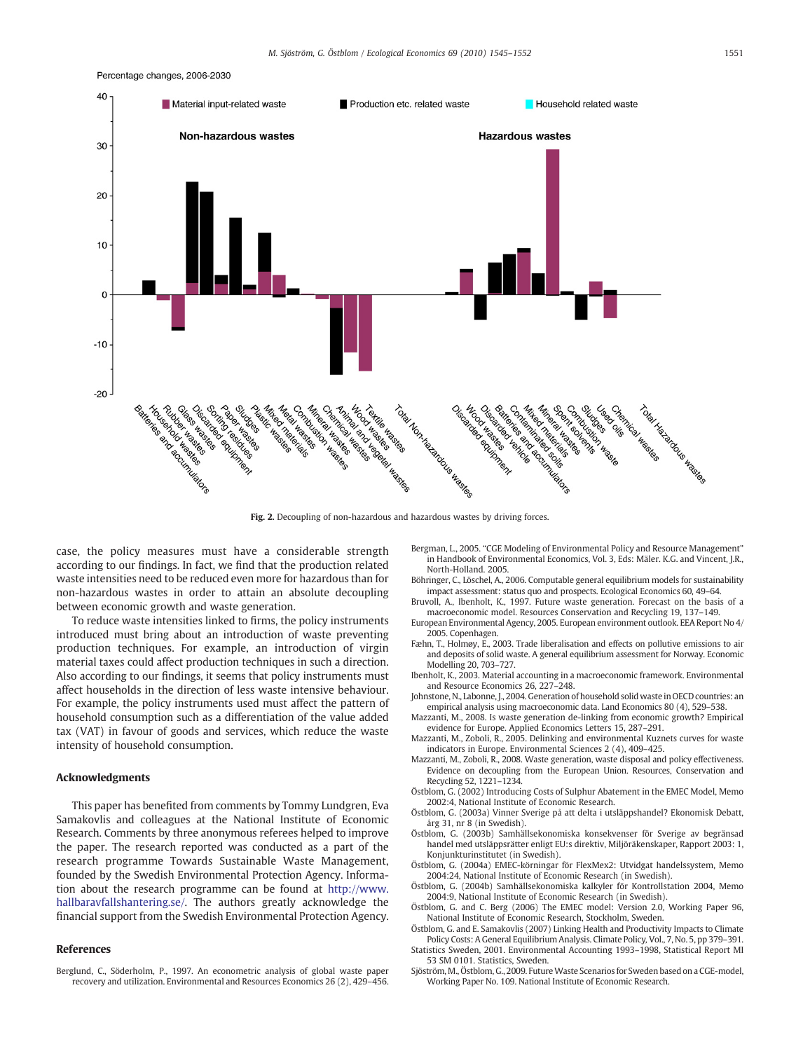<span id="page-6-0"></span>

Fig. 2. Decoupling of non-hazardous and hazardous wastes by driving forces.

case, the policy measures must have a considerable strength according to our findings. In fact, we find that the production related waste intensities need to be reduced even more for hazardous than for non-hazardous wastes in order to attain an absolute decoupling between economic growth and waste generation.

To reduce waste intensities linked to firms, the policy instruments introduced must bring about an introduction of waste preventing production techniques. For example, an introduction of virgin material taxes could affect production techniques in such a direction. Also according to our findings, it seems that policy instruments must affect households in the direction of less waste intensive behaviour. For example, the policy instruments used must affect the pattern of household consumption such as a differentiation of the value added tax (VAT) in favour of goods and services, which reduce the waste intensity of household consumption.

#### Acknowledgments

This paper has benefited from comments by Tommy Lundgren, Eva Samakovlis and colleagues at the National Institute of Economic Research. Comments by three anonymous referees helped to improve the paper. The research reported was conducted as a part of the research programme Towards Sustainable Waste Management, founded by the Swedish Environmental Protection Agency. Information about the research programme can be found at [http://www.](http://www.hallbaravfallshantering.se/) [hallbaravfallshantering.se/](http://www.hallbaravfallshantering.se/). The authors greatly acknowledge the financial support from the Swedish Environmental Protection Agency.

#### References

Berglund, C., Söderholm, P., 1997. An econometric analysis of global waste paper recovery and utilization. Environmental and Resources Economics 26 (2), 429–456.

- Bergman, L., 2005. "CGE Modeling of Environmental Policy and Resource Management" in Handbook of Environmental Economics, Vol. 3, Eds: Mäler. K.G. and Vincent, J.R., North-Holland. 2005.
- Böhringer, C., Löschel, A., 2006. Computable general equilibrium models for sustainability impact assessment: status quo and prospects. Ecological Economics 60, 49–64.
- Bruvoll, A., Ibenholt, K., 1997. Future waste generation. Forecast on the basis of a macroeconomic model. Resources Conservation and Recycling 19, 137–149.
- European Environmental Agency, 2005. European environment outlook. EEA Report No 4/ 2005. Copenhagen.
- Fæhn, T., Holmøy, E., 2003. Trade liberalisation and effects on pollutive emissions to air and deposits of solid waste. A general equilibrium assessment for Norway. Economic Modelling 20, 703–727.
- Ibenholt, K., 2003. Material accounting in a macroeconomic framework. Environmental and Resource Economics 26, 227–248.
- Johnstone, N., Labonne, J., 2004. Generation of household solid waste in OECD countries: an empirical analysis using macroeconomic data. Land Economics 80 (4), 529–538.
- Mazzanti, M., 2008. Is waste generation de-linking from economic growth? Empirical evidence for Europe. Applied Economics Letters 15, 287–291.
- Mazzanti, M., Zoboli, R., 2005. Delinking and environmental Kuznets curves for waste indicators in Europe. Environmental Sciences 2 (4), 409–425.
- Mazzanti, M., Zoboli, R., 2008. Waste generation, waste disposal and policy effectiveness. Evidence on decoupling from the European Union. Resources, Conservation and Recycling 52, 1221–1234.
- Östblom, G. (2002) Introducing Costs of Sulphur Abatement in the EMEC Model, Memo 2002:4, National Institute of Economic Research.
- Östblom, G. (2003a) Vinner Sverige på att delta i utsläppshandel? Ekonomisk Debatt, årg 31, nr 8 (in Swedish).
- Östblom, G. (2003b) Samhällsekonomiska konsekvenser för Sverige av begränsad handel med utsläppsrätter enligt EU:s direktiv, Miljöräkenskaper, Rapport 2003: 1, Konjunkturinstitutet (in Swedish).
- Östblom, G. (2004a) EMEC-körningar för FlexMex2: Utvidgat handelssystem, Memo 2004:24, National Institute of Economic Research (in Swedish).
- Östblom, G. (2004b) Samhällsekonomiska kalkyler för Kontrollstation 2004, Memo 2004:9, National Institute of Economic Research (in Swedish).
- Östblom, G. and C. Berg (2006) The EMEC model: Version 2.0, Working Paper 96, National Institute of Economic Research, Stockholm, Sweden.
- Östblom, G. and E. Samakovlis (2007) Linking Health and Productivity Impacts to Climate Policy Costs: A General Equilibrium Analysis. Climate Policy, Vol., 7, No. 5, pp 379–391.
- Statistics Sweden, 2001. Environmental Accounting 1993–1998, Statistical Report MI 53 SM 0101. Statistics, Sweden.
- Sjöström, M., Östblom, G., 2009. FutureWaste Scenarios for Sweden based on a CGE-model, Working Paper No. 109. National Institute of Economic Research.